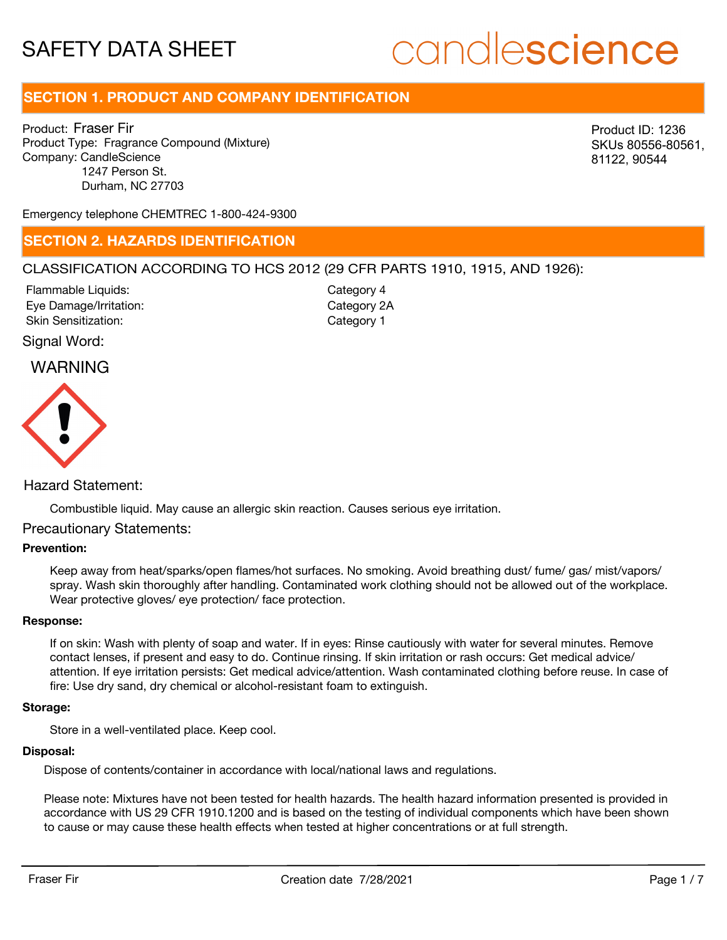# candlescience

# **SECTION 1. PRODUCT AND COMPANY IDENTIFICATION**

Product: Fraser Fir Product Type: Fragrance Compound (Mixture) Company: CandleScience 1247 Person St. Durham, NC 27703

Product ID: 1236 SKUs 80556-80561, 81122, 90544

Emergency telephone CHEMTREC 1-800-424-9300

## **SECTION 2. HAZARDS IDENTIFICATION**

#### CLASSIFICATION ACCORDING TO HCS 2012 (29 CFR PARTS 1910, 1915, AND 1926):

Eye Damage/Irritation: Skin Sensitization: Flammable Liquids:

Category 2A Category 1 Category 4

#### Signal Word:

## WARNING



### Hazard Statement:

Combustible liquid. May cause an allergic skin reaction. Causes serious eye irritation.

#### Precautionary Statements:

#### **Prevention:**

Keep away from heat/sparks/open flames/hot surfaces. No smoking. Avoid breathing dust/ fume/ gas/ mist/vapors/ spray. Wash skin thoroughly after handling. Contaminated work clothing should not be allowed out of the workplace. Wear protective gloves/ eye protection/ face protection.

#### **Response:**

If on skin: Wash with plenty of soap and water. If in eyes: Rinse cautiously with water for several minutes. Remove contact lenses, if present and easy to do. Continue rinsing. If skin irritation or rash occurs: Get medical advice/ attention. If eye irritation persists: Get medical advice/attention. Wash contaminated clothing before reuse. In case of fire: Use dry sand, dry chemical or alcohol-resistant foam to extinguish.

#### **Storage:**

Store in a well-ventilated place. Keep cool.

#### **Disposal:**

Dispose of contents/container in accordance with local/national laws and regulations.

Please note: Mixtures have not been tested for health hazards. The health hazard information presented is provided in accordance with US 29 CFR 1910.1200 and is based on the testing of individual components which have been shown to cause or may cause these health effects when tested at higher concentrations or at full strength.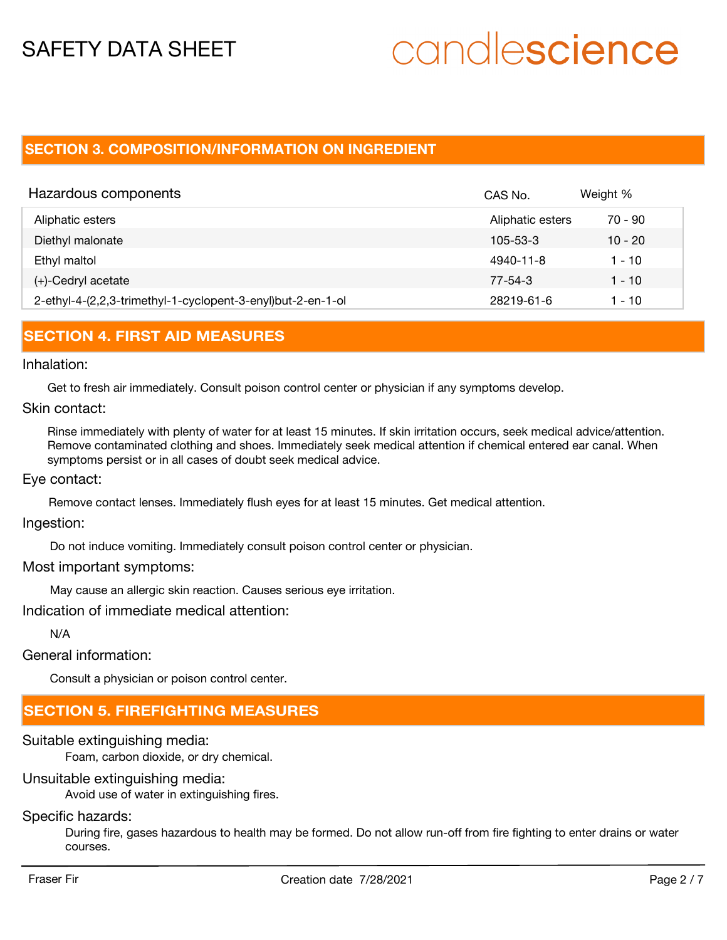# candlescience

# **SECTION 3. COMPOSITION/INFORMATION ON INGREDIENT**

| Hazardous components                                        | CAS No.          | Weight %  |
|-------------------------------------------------------------|------------------|-----------|
| Aliphatic esters                                            | Aliphatic esters | 70 - 90   |
| Diethyl malonate                                            | $105 - 53 - 3$   | $10 - 20$ |
| Ethyl maltol                                                | 4940-11-8        | 1 - 10    |
| $(+)$ -Cedryl acetate                                       | 77-54-3          | $1 - 10$  |
| 2-ethyl-4-(2,2,3-trimethyl-1-cyclopent-3-enyl)but-2-en-1-ol | 28219-61-6       | 1 - 10    |

## **SECTION 4. FIRST AID MEASURES**

#### Inhalation:

Get to fresh air immediately. Consult poison control center or physician if any symptoms develop.

#### Skin contact:

Rinse immediately with plenty of water for at least 15 minutes. If skin irritation occurs, seek medical advice/attention. Remove contaminated clothing and shoes. Immediately seek medical attention if chemical entered ear canal. When symptoms persist or in all cases of doubt seek medical advice.

#### Eye contact:

Remove contact lenses. Immediately flush eyes for at least 15 minutes. Get medical attention.

#### Ingestion:

Do not induce vomiting. Immediately consult poison control center or physician.

#### Most important symptoms:

May cause an allergic skin reaction. Causes serious eye irritation.

Indication of immediate medical attention:

N/A

General information:

Consult a physician or poison control center.

# **SECTION 5. FIREFIGHTING MEASURES**

### Suitable extinguishing media:

Foam, carbon dioxide, or dry chemical.

### Unsuitable extinguishing media:

Avoid use of water in extinguishing fires.

# Specific hazards:

During fire, gases hazardous to health may be formed. Do not allow run-off from fire fighting to enter drains or water courses.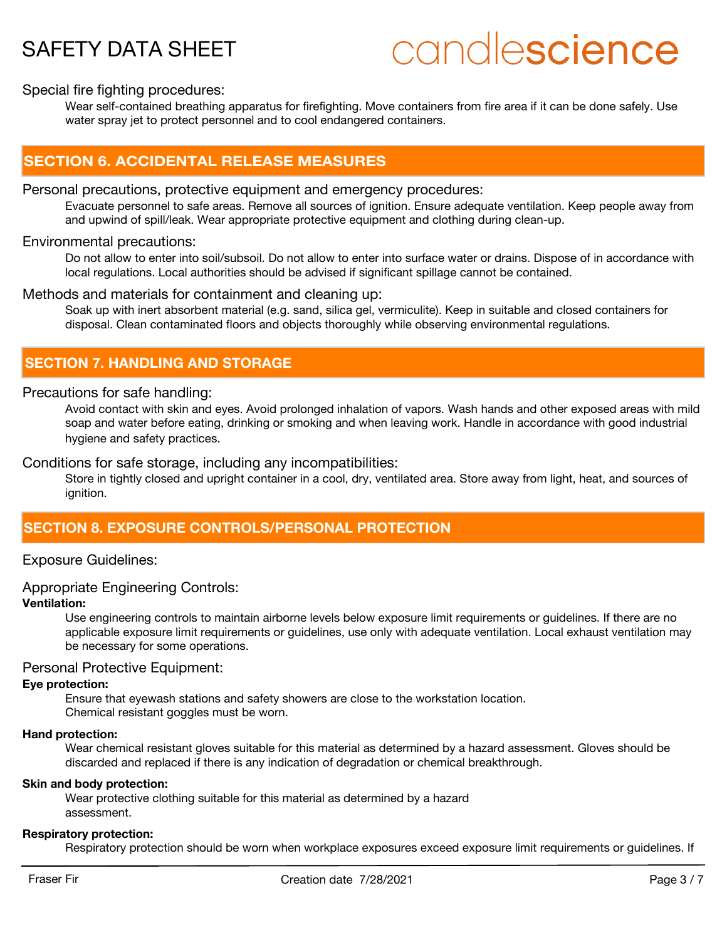# candlescience

#### Special fire fighting procedures:

Wear self-contained breathing apparatus for firefighting. Move containers from fire area if it can be done safely. Use water spray jet to protect personnel and to cool endangered containers.

## **SECTION 6. ACCIDENTAL RELEASE MEASURES**

#### Personal precautions, protective equipment and emergency procedures:

Evacuate personnel to safe areas. Remove all sources of ignition. Ensure adequate ventilation. Keep people away from and upwind of spill/leak. Wear appropriate protective equipment and clothing during clean-up.

#### Environmental precautions:

Do not allow to enter into soil/subsoil. Do not allow to enter into surface water or drains. Dispose of in accordance with local regulations. Local authorities should be advised if significant spillage cannot be contained.

#### Methods and materials for containment and cleaning up:

Soak up with inert absorbent material (e.g. sand, silica gel, vermiculite). Keep in suitable and closed containers for disposal. Clean contaminated floors and objects thoroughly while observing environmental regulations.

# **SECTION 7. HANDLING AND STORAGE**

#### Precautions for safe handling:

Avoid contact with skin and eyes. Avoid prolonged inhalation of vapors. Wash hands and other exposed areas with mild soap and water before eating, drinking or smoking and when leaving work. Handle in accordance with good industrial hygiene and safety practices.

#### Conditions for safe storage, including any incompatibilities:

Store in tightly closed and upright container in a cool, dry, ventilated area. Store away from light, heat, and sources of ignition.

# **SECTION 8. EXPOSURE CONTROLS/PERSONAL PROTECTION**

#### Exposure Guidelines:

#### Appropriate Engineering Controls:

#### **Ventilation:**

Use engineering controls to maintain airborne levels below exposure limit requirements or guidelines. If there are no applicable exposure limit requirements or guidelines, use only with adequate ventilation. Local exhaust ventilation may be necessary for some operations.

#### Personal Protective Equipment:

#### **Eye protection:**

Ensure that eyewash stations and safety showers are close to the workstation location. Chemical resistant goggles must be worn.

#### **Hand protection:**

Wear chemical resistant gloves suitable for this material as determined by a hazard assessment. Gloves should be discarded and replaced if there is any indication of degradation or chemical breakthrough.

#### **Skin and body protection:**

Wear protective clothing suitable for this material as determined by a hazard assessment.

#### **Respiratory protection:**

Respiratory protection should be worn when workplace exposures exceed exposure limit requirements or guidelines. If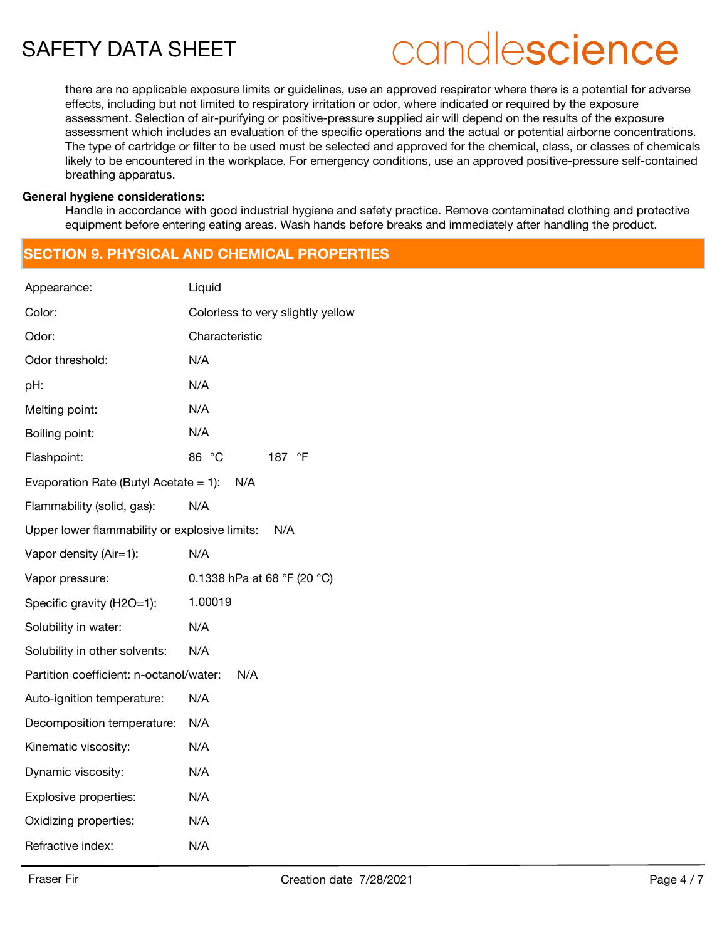# candlescience

there are no applicable exposure limits or guidelines, use an approved respirator where there is a potential for adverse effects, including but not limited to respiratory irritation or odor, where indicated or required by the exposure assessment. Selection of air-purifying or positive-pressure supplied air will depend on the results of the exposure assessment which includes an evaluation of the specific operations and the actual or potential airborne concentrations. The type of cartridge or filter to be used must be selected and approved for the chemical, class, or classes of chemicals likely to be encountered in the workplace. For emergency conditions, use an approved positive-pressure self-contained breathing apparatus.

#### **General hygiene considerations:**

Handle in accordance with good industrial hygiene and safety practice. Remove contaminated clothing and protective equipment before entering eating areas. Wash hands before breaks and immediately after handling the product.

# **SECTION 9. PHYSICAL AND CHEMICAL PROPERTIES**

| Appearance:                                   | Liquid                            |  |
|-----------------------------------------------|-----------------------------------|--|
| Color:                                        | Colorless to very slightly yellow |  |
| Odor:                                         | Characteristic                    |  |
| Odor threshold:                               | N/A                               |  |
| pH:                                           | N/A                               |  |
| Melting point:                                | N/A                               |  |
| Boiling point:                                | N/A                               |  |
| Flashpoint:                                   | 86 °C<br>187 °F                   |  |
| Evaporation Rate (Butyl Acetate = $1$ ):      | N/A                               |  |
| Flammability (solid, gas):                    | N/A                               |  |
| Upper lower flammability or explosive limits: | N/A                               |  |
| Vapor density (Air=1):                        | N/A                               |  |
|                                               |                                   |  |
| Vapor pressure:                               | 0.1338 hPa at 68 °F (20 °C)       |  |
| Specific gravity (H2O=1):                     | 1.00019                           |  |
| Solubility in water:                          | N/A                               |  |
| Solubility in other solvents:                 | N/A                               |  |
| Partition coefficient: n-octanol/water:       | N/A                               |  |
| Auto-ignition temperature:                    | N/A                               |  |
| Decomposition temperature:                    | N/A                               |  |
| Kinematic viscosity:                          | N/A                               |  |
| Dynamic viscosity:                            | N/A                               |  |
| Explosive properties:                         | N/A                               |  |
| Oxidizing properties:                         | N/A                               |  |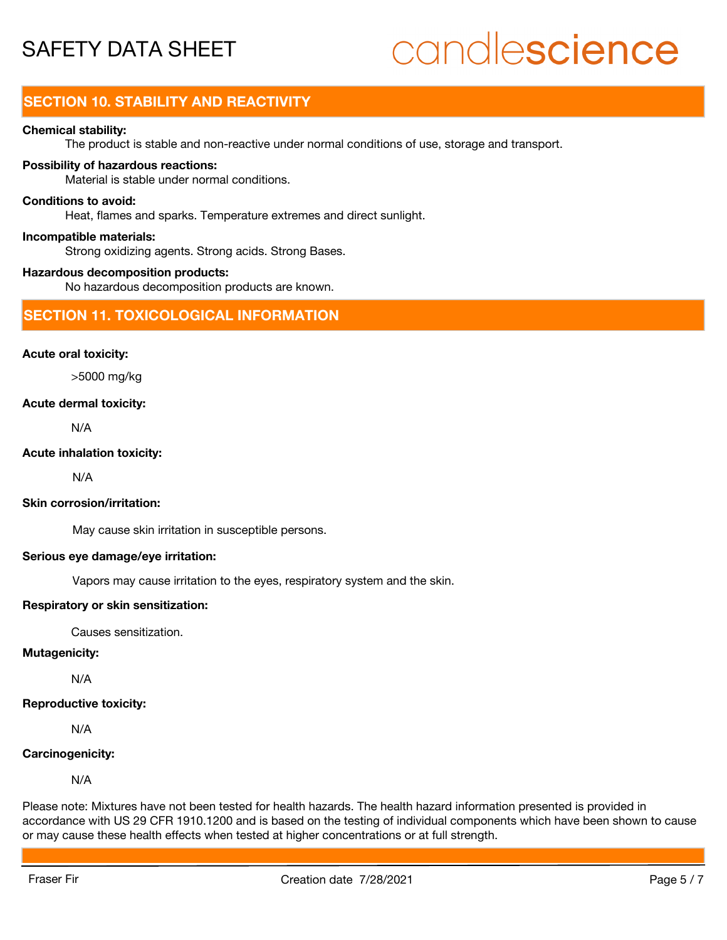# candlescience

# **SECTION 10. STABILITY AND REACTIVITY**

#### **Chemical stability:**

The product is stable and non-reactive under normal conditions of use, storage and transport.

#### **Possibility of hazardous reactions:**

Material is stable under normal conditions.

#### **Conditions to avoid:**

Heat, flames and sparks. Temperature extremes and direct sunlight.

#### **Incompatible materials:**

Strong oxidizing agents. Strong acids. Strong Bases.

#### **Hazardous decomposition products:**

No hazardous decomposition products are known.

#### **SECTION 11. TOXICOLOGICAL INFORMATION**

#### **Acute oral toxicity:**

>5000 mg/kg

#### **Acute dermal toxicity:**

N/A

#### **Acute inhalation toxicity:**

N/A

#### **Skin corrosion/irritation:**

May cause skin irritation in susceptible persons.

#### **Serious eye damage/eye irritation:**

Vapors may cause irritation to the eyes, respiratory system and the skin.

#### **Respiratory or skin sensitization:**

Causes sensitization.

#### **Mutagenicity:**

N/A

### **Reproductive toxicity:**

N/A

### **Carcinogenicity:**

N/A

Please note: Mixtures have not been tested for health hazards. The health hazard information presented is provided in accordance with US 29 CFR 1910.1200 and is based on the testing of individual components which have been shown to cause or may cause these health effects when tested at higher concentrations or at full strength.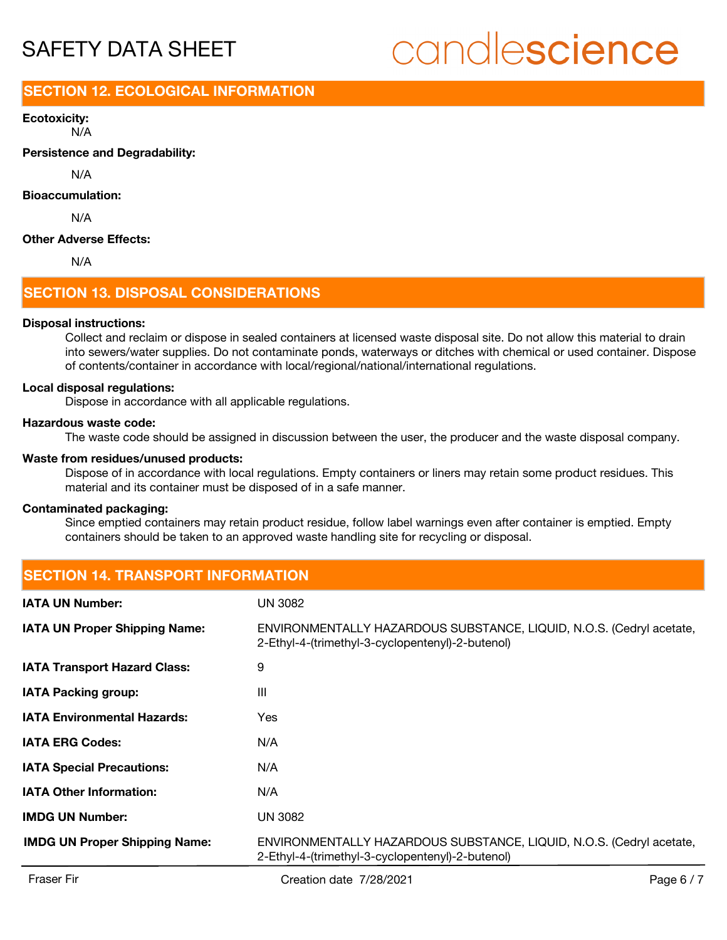# candlescience

# **SECTION 12. ECOLOGICAL INFORMATION**

N/A **Ecotoxicity:**

**Persistence and Degradability:**

N/A

#### **Bioaccumulation:**

N/A

#### **Other Adverse Effects:**

N/A

## **SECTION 13. DISPOSAL CONSIDERATIONS**

#### **Disposal instructions:**

Collect and reclaim or dispose in sealed containers at licensed waste disposal site. Do not allow this material to drain into sewers/water supplies. Do not contaminate ponds, waterways or ditches with chemical or used container. Dispose of contents/container in accordance with local/regional/national/international regulations.

#### **Local disposal regulations:**

Dispose in accordance with all applicable regulations.

#### **Hazardous waste code:**

The waste code should be assigned in discussion between the user, the producer and the waste disposal company.

#### **Waste from residues/unused products:**

Dispose of in accordance with local regulations. Empty containers or liners may retain some product residues. This material and its container must be disposed of in a safe manner.

#### **Contaminated packaging:**

Since emptied containers may retain product residue, follow label warnings even after container is emptied. Empty containers should be taken to an approved waste handling site for recycling or disposal.

# **SECTION 14. TRANSPORT INFORMATION**

| <b>IATA UN Number:</b>               | UN 3082                                                                                                                  |
|--------------------------------------|--------------------------------------------------------------------------------------------------------------------------|
| <b>IATA UN Proper Shipping Name:</b> | ENVIRONMENTALLY HAZARDOUS SUBSTANCE, LIQUID, N.O.S. (Cedryl acetate,<br>2-Ethyl-4-(trimethyl-3-cyclopentenyl)-2-butenol) |
| <b>IATA Transport Hazard Class:</b>  | 9                                                                                                                        |
| <b>IATA Packing group:</b>           | Ш                                                                                                                        |
| <b>IATA Environmental Hazards:</b>   | Yes                                                                                                                      |
| <b>IATA ERG Codes:</b>               | N/A                                                                                                                      |
| <b>IATA Special Precautions:</b>     | N/A                                                                                                                      |
| <b>IATA Other Information:</b>       | N/A                                                                                                                      |
| <b>IMDG UN Number:</b>               | UN 3082                                                                                                                  |
| <b>IMDG UN Proper Shipping Name:</b> | ENVIRONMENTALLY HAZARDOUS SUBSTANCE, LIQUID, N.O.S. (Cedryl acetate,<br>2-Ethyl-4-(trimethyl-3-cyclopentenyl)-2-butenol) |